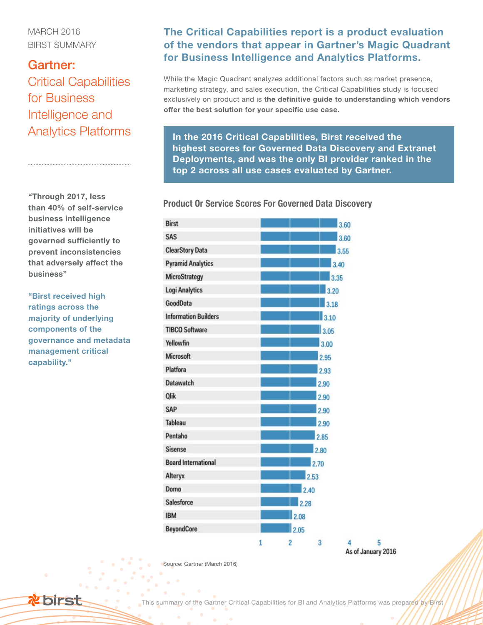MARCH 2016 BIRST SUMMARY

## Gartner: Critical Capabilities for Business Intelligence and Analytics Platforms

"Through 2017, less than 40% of self-service business intelligence initiatives will be governed sufficiently to prevent inconsistencies that adversely affect the business"

"Birst received high ratings across the majority of underlying components of the governance and metadata management critical capability."

## The Critical Capabilities report is a product evaluation of the vendors that appear in Gartner's Magic Quadrant for Business Intelligence and Analytics Platforms.

While the Magic Quadrant analyzes additional factors such as market presence, marketing strategy, and sales execution, the Critical Capabilities study is focused exclusively on product and is the definitive guide to understanding which vendors offer the best solution for your specific use case.

In the 2016 Critical Capabilities, Birst received the highest scores for Governed Data Discovery and Extranet Deployments, and was the only BI provider ranked in the top 2 across all use cases evaluated by Gartner.

Product Or Service Scores For Governed Data Discovery

| <b>Birst</b>                | 3.60                                      |  |
|-----------------------------|-------------------------------------------|--|
| SAS                         | 3.60                                      |  |
| <b>ClearStory Data</b>      | 3.55                                      |  |
| <b>Pyramid Analytics</b>    | 3.40                                      |  |
| MicroStrategy               | 3.35                                      |  |
| <b>Logi Analytics</b>       | 3.20                                      |  |
| GoodData                    | 3.18                                      |  |
| <b>Information Builders</b> | 3.10                                      |  |
| <b>TIBCO Software</b>       | 3.05                                      |  |
| Yellowfin                   | 3.00                                      |  |
| <b>Microsoft</b>            | 2.95                                      |  |
| Platfora                    | 2.93                                      |  |
| <b>Datawatch</b>            | 2.90                                      |  |
| Qlik                        | 2.90                                      |  |
| SAP                         | 2.90                                      |  |
| <b>Tableau</b>              | 2.90                                      |  |
| Pentaho                     | 2.85                                      |  |
| <b>Sisense</b>              | 2.80                                      |  |
| <b>Board International</b>  | 2.70                                      |  |
| Alteryx                     | 2.53                                      |  |
| Domo                        | 2.40                                      |  |
| Salesforce                  | 2.28                                      |  |
| <b>IBM</b>                  | 2.08                                      |  |
| <b>BeyondCore</b>           | 2.05                                      |  |
|                             | п.<br>$\overline{2}$<br>$\mathbf{R}$<br>4 |  |

As of January 2016

Source: Gartner (March 2016)

This summary of the Gartner Critical Capabilities for BI and Analytics Platforms was prepared by Birst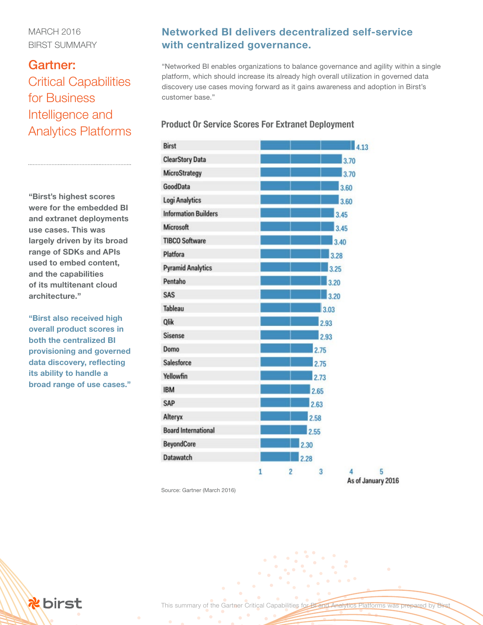### MARCH 2016 BIRST SUMMARY

## Gartner: Critical Capabilities for Business Intelligence and Analytics Platforms

"Birst's highest scores were for the embedded BI and extranet deployments use cases. This was largely driven by its broad range of SDKs and APIs used to embed content, and the capabilities of its multitenant cloud architecture."

"Birst also received high overall product scores in both the centralized BI provisioning and governed data discovery, reflecting its ability to handle a broad range of use cases."

## Networked BI delivers decentralized self-service with centralized governance.

"Networked BI enables organizations to balance governance and agility within a single platform, which should increase its already high overall utilization in governed data discovery use cases moving forward as it gains awareness and adoption in Birst's customer base."

#### Product Or Service Scores For Extranet Deployment

| <b>Birst</b>                |   | $\blacksquare$ 4.13 |   |  |  |
|-----------------------------|---|---------------------|---|--|--|
| <b>ClearStory Data</b>      |   | 3.70                |   |  |  |
| MicroStrategy               |   | 3.70                |   |  |  |
| GoodData                    |   | 3.60                |   |  |  |
| <b>Logi Analytics</b>       |   | 3.60                |   |  |  |
| <b>Information Builders</b> |   | 3.45                |   |  |  |
| Microsoft                   |   | 3.45                |   |  |  |
| <b>TIBCO Software</b>       |   | 3.40                |   |  |  |
| Platfora                    |   | 3.28                |   |  |  |
| <b>Pyramid Analytics</b>    |   | 3.25                |   |  |  |
| Pentaho                     |   | 3.20                |   |  |  |
| SAS                         |   | 3.20                |   |  |  |
| <b>Tableau</b>              |   | 3.03                |   |  |  |
| <b>Qlik</b>                 |   | 2.93                |   |  |  |
| <b>Sisense</b>              |   | 2.93                |   |  |  |
| Domo                        |   | 2.75                |   |  |  |
| Salesforce                  |   | 2.75                |   |  |  |
| Yellowfin                   |   | 2.73                |   |  |  |
| <b>IBM</b>                  |   | 2.65                |   |  |  |
| SAP                         |   | 2.63                |   |  |  |
| Alteryx                     |   | 2.58                |   |  |  |
| <b>Board International</b>  |   | 2.55                |   |  |  |
| <b>BeyondCore</b>           |   | 2.30                |   |  |  |
| <b>Datawatch</b>            |   | 2.28                |   |  |  |
|                             | 1 | 2<br>3<br>4         | 5 |  |  |

Source: Gartner (March 2016)

As of January 2016

**x** birst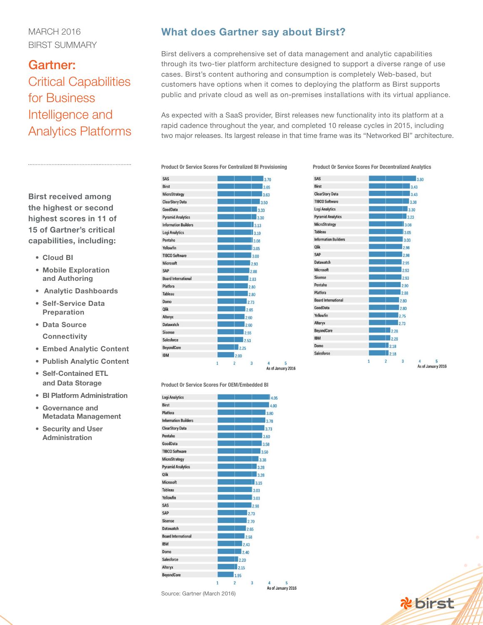### MARCH 2016 BIRST SUMMARY

## Gartner: Critical Capabilities for Business Intelligence and Analytics Platforms

### What does Gartner say about Birst?

Birst delivers a comprehensive set of data management and analytic capabilities through its two-tier platform architecture designed to support a diverse range of use cases. Birst's content authoring and consumption is completely Web-based, but customers have options when it comes to deploying the platform as Birst supports public and private cloud as well as on-premises installations with its virtual appliance.

As expected with a SaaS provider, Birst releases new functionality into its platform at a rapid cadence throughout the year, and completed 10 release cycles in 2015, including two major releases. Its largest release in that time frame was its "Networked BI" architecture.

Product Or Service Scores For Centralized BI Provisioning Product Or Service Scores For Decentralized Analytics





Product Or Service Scores For OEM/Embedded BI



Birst received among the highest or second highest scores in 11 of 15 of Gartner's critical capabilities, including:

- Cloud BI
- Mobile Exploration and Authoring
- Analytic Dashboards
- Self-Service Data Preparation
- Data Source **Connectivity**
- Embed Analytic Content
- Publish Analytic Content
- Self-Contained ETL and Data Storage
- BI Platform Administration
- Governance and Metadata Management
- Security and User Administration

**Rebirst**